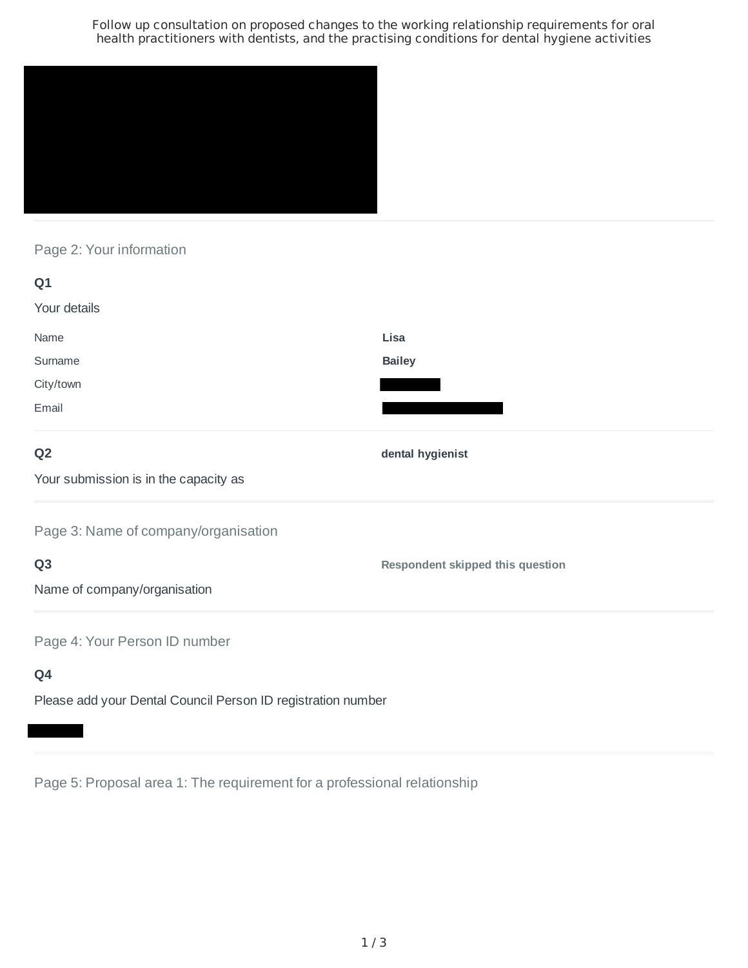Follow up consultation on proposed changes to the working relationship requirements for oral health practitioners with dentists, and the practising conditions for dental hygiene activities



Page 2: Your information

| Q1                                    |                                         |
|---------------------------------------|-----------------------------------------|
| Your details                          |                                         |
| Name                                  | Lisa                                    |
| Surname                               | <b>Bailey</b>                           |
| City/town                             |                                         |
| Email                                 |                                         |
| Q <sub>2</sub>                        | dental hygienist                        |
| Your submission is in the capacity as |                                         |
| Page 3: Name of company/organisation  |                                         |
| Q <sub>3</sub>                        | <b>Respondent skipped this question</b> |
| Name of company/organisation          |                                         |
| Page 4: Your Person ID number         |                                         |
| Q4                                    |                                         |

Please add your Dental Council Person ID registration number

Page 5: Proposal area 1: The requirement for a professional relationship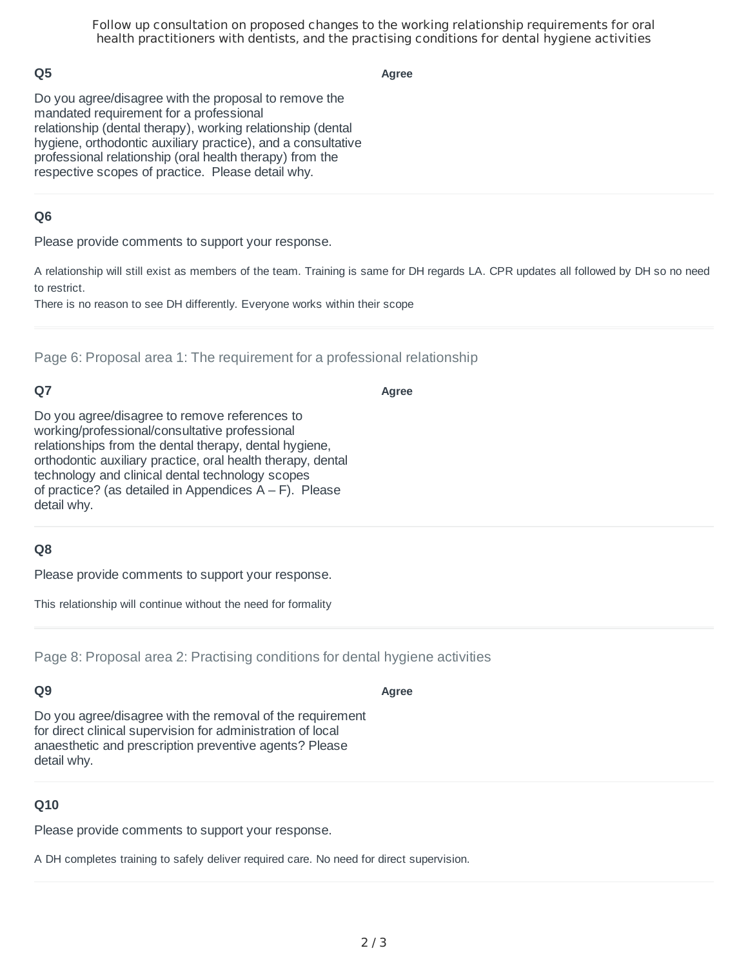Follow up consultation on proposed changes to the working relationship requirements for oral health practitioners with dentists, and the practising conditions for dental hygiene activities

## **Q5**

**Agree**

Do you agree/disagree with the proposal to remove the mandated requirement for a professional relationship (dental therapy), working relationship (dental hygiene, orthodontic auxiliary practice), and a consultative professional relationship (oral health therapy) from the respective scopes of practice. Please detail why.

## **Q6**

Please provide comments to support your response.

A relationship will still exist as members of the team. Training is same for DH regards LA. CPR updates all followed by DH so no need to restrict.

There is no reason to see DH differently. Everyone works within their scope

Page 6: Proposal area 1: The requirement for a professional relationship

## **Q7**

#### **Agree**

Do you agree/disagree to remove references to working/professional/consultative professional relationships from the dental therapy, dental hygiene, orthodontic auxiliary practice, oral health therapy, dental technology and clinical dental technology scopes of practice? (as detailed in Appendices  $A - F$ ). Please detail why.

#### **Q8**

Please provide comments to support your response.

This relationship will continue without the need for formality

Page 8: Proposal area 2: Practising conditions for dental hygiene activities

## **Q9**

#### **Agree**

Do you agree/disagree with the removal of the requirement for direct clinical supervision for administration of local anaesthetic and prescription preventive agents? Please detail why.

#### **Q10**

Please provide comments to support your response.

A DH completes training to safely deliver required care. No need for direct supervision.